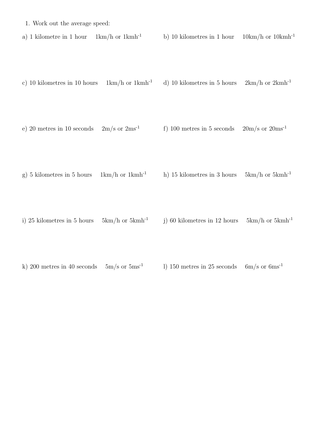|  |  |  |  | 1. Work out the average speed: |  |  |
|--|--|--|--|--------------------------------|--|--|
|--|--|--|--|--------------------------------|--|--|

a) 1 kilometre in 1 hour  $1 \text{km/h}$  or  $1 \text{km}^{-1}$  b) 10 kilometres in 1 hour  $10 \text{km/h}$  or  $10 \text{km}^{-1}$ 

c) 10 kilometres in 10 hours  $1km/h$  or  $1kmh^{-1}$  d) 10 kilometres in 5 hours  $2km/h$  or  $2kmh^{-1}$ 

e) 20 metres in 10 seconds  $2m/s$  or  $2ms^{-1}$  f) 100 metres in 5 seconds  $20m/s$  or  $20ms^{-1}$ 

g) 5 kilometres in 5 hours  $1 \text{km/h}$  or  $1 \text{km/h}^{-1}$  h) 15 kilometres in 3 hours 5km/h or 5kmh<sup>-1</sup>

i) 25 kilometres in 5 hours  $5km/h$  or  $5kmh^{-1}$  j) 60 kilometres in 12 hours  $5km/h$  or  $5kmh^{-1}$ 

k) 200 metres in 40 seconds  $5m/s$  or  $5ms^{-1}$  l) 150 metres in 25 seconds  $6m/s$  or  $6ms^{-1}$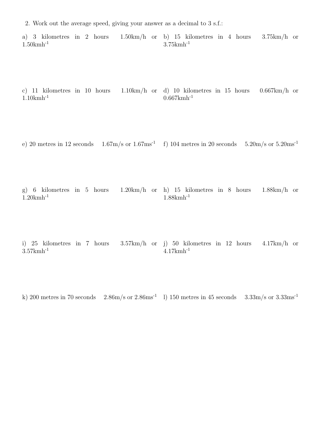- 2. Work out the average speed, giving your answer as a decimal to 3 s.f.:
- a) 3 kilometres in 2 hours 1.50km/h or b) 15 kilometres in 4 hours 3.75km/h or 1.50kmh-1 3.75kmh-1
- c) 11 kilometres in 10 hours 1.10km/h or d) 10 kilometres in 15 hours 0.667km/h or 1.10kmh-1  $0.667$  km h<sup>-1</sup>
- e) 20 metres in 12 seconds  $1.67 \text{m/s}$  or  $1.67 \text{m/s}^{-1}$  f) 104 metres in 20 seconds  $5.20 \text{m/s}$  or  $5.20 \text{m/s}^{-1}$
- g) 6 kilometres in 5 hours 1.20km/h or h) 15 kilometres in 8 hours 1.88km/h or  $1.20$ km $h^{-1}$  $1.88$ km $h^{-1}$
- i) 25 kilometres in 7 hours 3.57km/h or j) 50 kilometres in 12 hours 4.17km/h or  $3.57$  km  $h^{-1}$ 4.17kmh-1
- k) 200 metres in 70 seconds  $2.86 \text{m/s}$  or  $2.86 \text{m/s}^{-1}$  l) 150 metres in 45 seconds  $3.33 \text{m/s}$  or  $3.33 \text{m/s}^{-1}$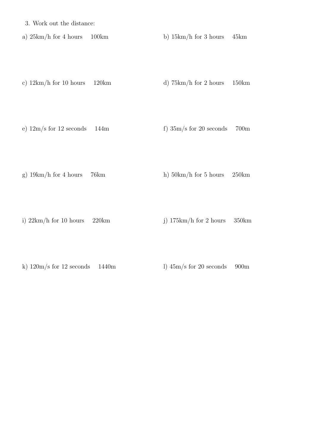3. Work out the distance:

a)  $25km/h$  for 4 hours  $100km$  b)  $15km/h$  for 3 hours  $45km$ 

- c)  $12km/h$  for 10 hours 120km d)  $75km/h$  for 2 hours 150km
- e)  $12m/s$  for  $12$  seconds  $144m$  f)  $35m/s$  for  $20$  seconds  $700m$
- g)  $19km/h$  for 4 hours 76km h)  $50km/h$  for 5 hours  $250km$
- i)  $22km/h$  for 10 hours  $220km$  j)  $175km/h$  for 2 hours  $350km$
- k)  $120 \text{m/s}$  for  $12 \text{ seconds}$  1440m l)  $45 \text{m/s}$  for  $20 \text{ seconds}$  900m
-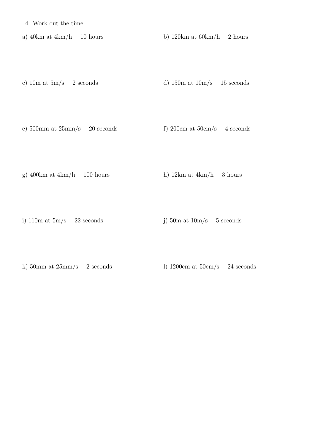4. Work out the time:

a) 40km at  $4km/h$  10 hours b) 120km at  $60km/h$  2 hours

- c)  $10m$  at  $5m/s$  2 seconds d)  $150m$  at  $10m/s$  15 seconds
- e)  $500 \text{mm}$  at  $25 \text{mm/s}$  20 seconds f)  $200 \text{cm}$  at  $50 \text{cm/s}$  4 seconds
- g) 400km at  $4km/h$  100 hours h) 12km at  $4km/h$  3 hours
- i) 110m at  $5m/s$  22 seconds j)  $50m$  at  $10m/s$  5 seconds

k) 50mm at  $25 \text{mm/s}$  2 seconds l) 1200cm at  $50 \text{cm/s}$  24 seconds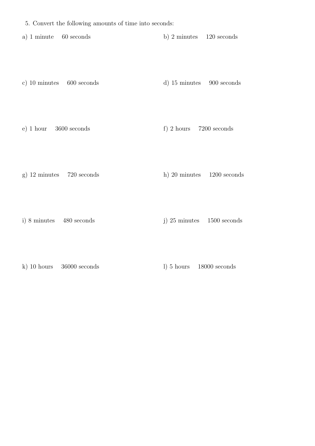a) 1 minute 60 seconds b) 2 minutes 120 seconds

c) 10 minutes 600 seconds d) 15 minutes 900 seconds

e) 1 hour 3600 seconds f) 2 hours 7200 seconds

g) 12 minutes 720 seconds h) 20 minutes 1200 seconds

i) 8 minutes 480 seconds j) 25 minutes 1500 seconds

k) 10 hours 36000 seconds l) 5 hours 18000 seconds